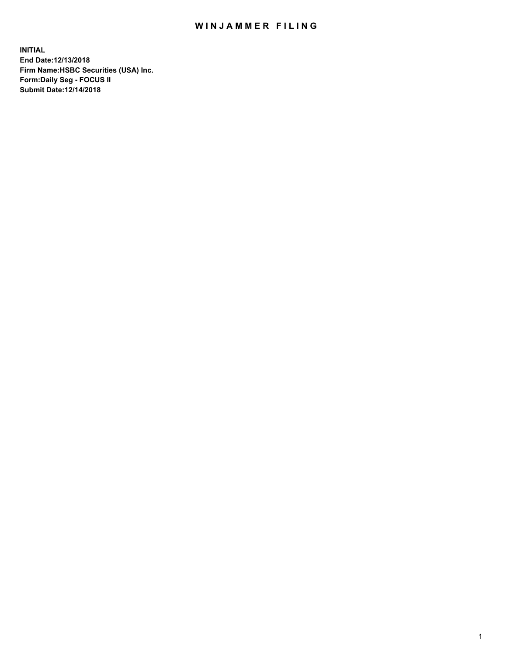## WIN JAMMER FILING

**INITIAL End Date:12/13/2018 Firm Name:HSBC Securities (USA) Inc. Form:Daily Seg - FOCUS II Submit Date:12/14/2018**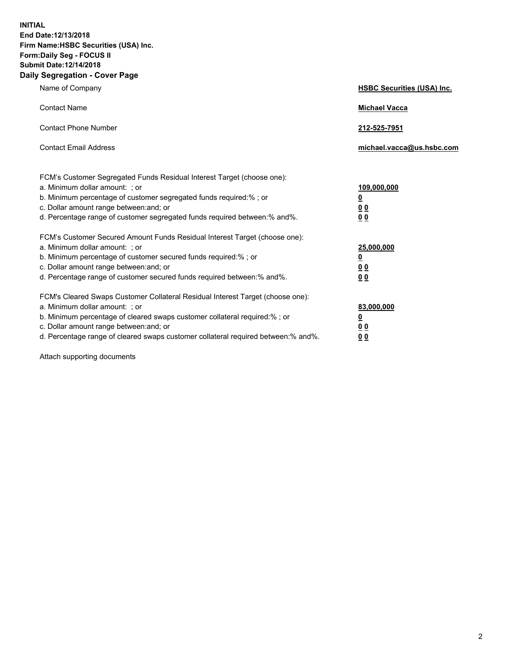**INITIAL End Date:12/13/2018 Firm Name:HSBC Securities (USA) Inc. Form:Daily Seg - FOCUS II Submit Date:12/14/2018 Daily Segregation - Cover Page**

| Name of Company                                                                                                                                                                                                                                                                                                                | <b>HSBC Securities (USA) Inc.</b>                           |
|--------------------------------------------------------------------------------------------------------------------------------------------------------------------------------------------------------------------------------------------------------------------------------------------------------------------------------|-------------------------------------------------------------|
| <b>Contact Name</b>                                                                                                                                                                                                                                                                                                            | <b>Michael Vacca</b>                                        |
| <b>Contact Phone Number</b>                                                                                                                                                                                                                                                                                                    | 212-525-7951                                                |
| <b>Contact Email Address</b>                                                                                                                                                                                                                                                                                                   | michael.vacca@us.hsbc.com                                   |
| FCM's Customer Segregated Funds Residual Interest Target (choose one):<br>a. Minimum dollar amount: ; or<br>b. Minimum percentage of customer segregated funds required:% ; or<br>c. Dollar amount range between: and; or<br>d. Percentage range of customer segregated funds required between:% and%.                         | 109,000,000<br><u>0</u><br>0 <sub>0</sub><br>0 <sub>0</sub> |
| FCM's Customer Secured Amount Funds Residual Interest Target (choose one):<br>a. Minimum dollar amount: ; or<br>b. Minimum percentage of customer secured funds required:% ; or<br>c. Dollar amount range between: and; or<br>d. Percentage range of customer secured funds required between: % and %.                         | 25,000,000<br><u>0</u><br>0 <sub>0</sub><br>0 <sub>0</sub>  |
| FCM's Cleared Swaps Customer Collateral Residual Interest Target (choose one):<br>a. Minimum dollar amount: ; or<br>b. Minimum percentage of cleared swaps customer collateral required:% ; or<br>c. Dollar amount range between: and; or<br>d. Percentage range of cleared swaps customer collateral required between:% and%. | 83,000,000<br><u>0</u><br>00<br>00                          |

Attach supporting documents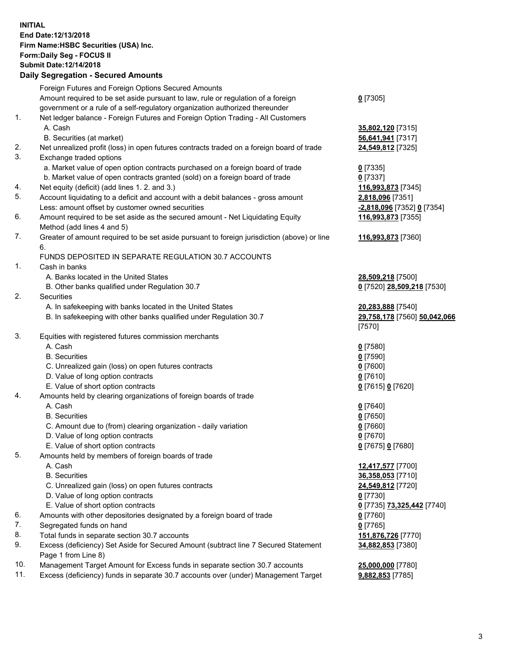**INITIAL End Date:12/13/2018 Firm Name:HSBC Securities (USA) Inc. Form:Daily Seg - FOCUS II Submit Date:12/14/2018 Daily Segregation - Secured Amounts** Foreign Futures and Foreign Options Secured Amounts Amount required to be set aside pursuant to law, rule or regulation of a foreign government or a rule of a self-regulatory organization authorized thereunder **0** [7305] 1. Net ledger balance - Foreign Futures and Foreign Option Trading - All Customers A. Cash **35,802,120** [7315] B. Securities (at market) **56,641,941** [7317] 2. Net unrealized profit (loss) in open futures contracts traded on a foreign board of trade **24,549,812** [7325] 3. Exchange traded options a. Market value of open option contracts purchased on a foreign board of trade **0** [7335] b. Market value of open contracts granted (sold) on a foreign board of trade **0** [7337] 4. Net equity (deficit) (add lines 1. 2. and 3.) **116,993,873** [7345] 5. Account liquidating to a deficit and account with a debit balances - gross amount **2,818,096** [7351] Less: amount offset by customer owned securities **-2,818,096** [7352] **0** [7354] 6. Amount required to be set aside as the secured amount - Net Liquidating Equity Method (add lines 4 and 5) **116,993,873** [7355] 7. Greater of amount required to be set aside pursuant to foreign jurisdiction (above) or line 6. **116,993,873** [7360] FUNDS DEPOSITED IN SEPARATE REGULATION 30.7 ACCOUNTS 1. Cash in banks A. Banks located in the United States **28,509,218** [7500] B. Other banks qualified under Regulation 30.7 **0** [7520] **28,509,218** [7530] 2. Securities A. In safekeeping with banks located in the United States **20,283,888** [7540] B. In safekeeping with other banks qualified under Regulation 30.7 **29,758,178** [7560] **50,042,066** [7570] 3. Equities with registered futures commission merchants A. Cash **0** [7580] B. Securities **0** [7590] C. Unrealized gain (loss) on open futures contracts **0** [7600] D. Value of long option contracts **0** [7610] E. Value of short option contracts **0** [7615] **0** [7620] 4. Amounts held by clearing organizations of foreign boards of trade A. Cash **0** [7640] B. Securities **0** [7650] C. Amount due to (from) clearing organization - daily variation **0** [7660] D. Value of long option contracts **0** [7670] E. Value of short option contracts **0** [7675] **0** [7680] 5. Amounts held by members of foreign boards of trade A. Cash **12,417,577** [7700] B. Securities **36,358,053** [7710] C. Unrealized gain (loss) on open futures contracts **24,549,812** [7720] D. Value of long option contracts **0** [7730] E. Value of short option contracts **0** [7735] **73,325,442** [7740] 6. Amounts with other depositories designated by a foreign board of trade **0** [7760] 7. Segregated funds on hand **0** [7765] 8. Total funds in separate section 30.7 accounts **151,876,726** [7770] 9. Excess (deficiency) Set Aside for Secured Amount (subtract line 7 Secured Statement **34,882,853** [7380]

Page 1 from Line 8)

10. Management Target Amount for Excess funds in separate section 30.7 accounts **25,000,000** [7780]

11. Excess (deficiency) funds in separate 30.7 accounts over (under) Management Target **9,882,853** [7785]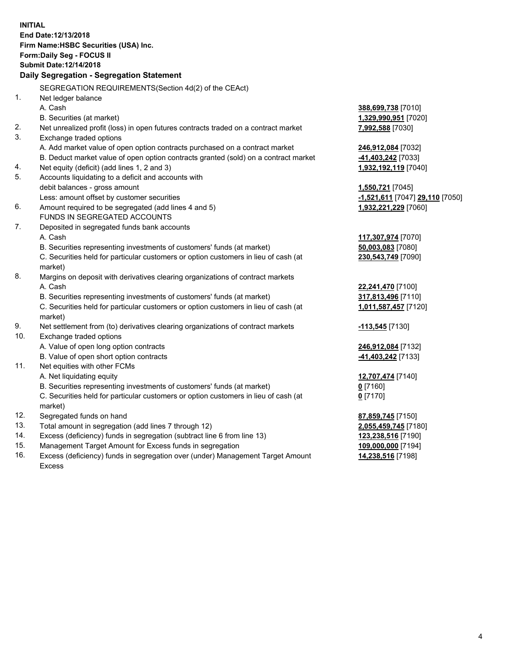**INITIAL End Date:12/13/2018 Firm Name:HSBC Securities (USA) Inc. Form:Daily Seg - FOCUS II Submit Date:12/14/2018 Daily Segregation - Segregation Statement** SEGREGATION REQUIREMENTS(Section 4d(2) of the CEAct) 1. Net ledger balance A. Cash **388,699,738** [7010] B. Securities (at market) **1,329,990,951** [7020] 2. Net unrealized profit (loss) in open futures contracts traded on a contract market **7,992,588** [7030] 3. Exchange traded options A. Add market value of open option contracts purchased on a contract market **246,912,084** [7032] B. Deduct market value of open option contracts granted (sold) on a contract market **-41,403,242** [7033] 4. Net equity (deficit) (add lines 1, 2 and 3) **1,932,192,119** [7040] 5. Accounts liquidating to a deficit and accounts with debit balances - gross amount **1,550,721** [7045] Less: amount offset by customer securities **-1,521,611** [7047] **29,110** [7050] 6. Amount required to be segregated (add lines 4 and 5) **1,932,221,229** [7060] FUNDS IN SEGREGATED ACCOUNTS 7. Deposited in segregated funds bank accounts A. Cash **117,307,974** [7070] B. Securities representing investments of customers' funds (at market) **50,003,083** [7080] C. Securities held for particular customers or option customers in lieu of cash (at market) **230,543,749** [7090] 8. Margins on deposit with derivatives clearing organizations of contract markets A. Cash **22,241,470** [7100] B. Securities representing investments of customers' funds (at market) **317,813,496** [7110] C. Securities held for particular customers or option customers in lieu of cash (at market) **1,011,587,457** [7120] 9. Net settlement from (to) derivatives clearing organizations of contract markets **-113,545** [7130] 10. Exchange traded options A. Value of open long option contracts **246,912,084** [7132] B. Value of open short option contracts **-41,403,242** [7133] 11. Net equities with other FCMs A. Net liquidating equity **12,707,474** [7140] B. Securities representing investments of customers' funds (at market) **0** [7160] C. Securities held for particular customers or option customers in lieu of cash (at market) **0** [7170] 12. Segregated funds on hand **87,859,745** [7150] 13. Total amount in segregation (add lines 7 through 12) **2,055,459,745** [7180] 14. Excess (deficiency) funds in segregation (subtract line 6 from line 13) **123,238,516** [7190] 15. Management Target Amount for Excess funds in segregation **109,000,000** [7194] 16. Excess (deficiency) funds in segregation over (under) Management Target Amount **14,238,516** [7198]

Excess